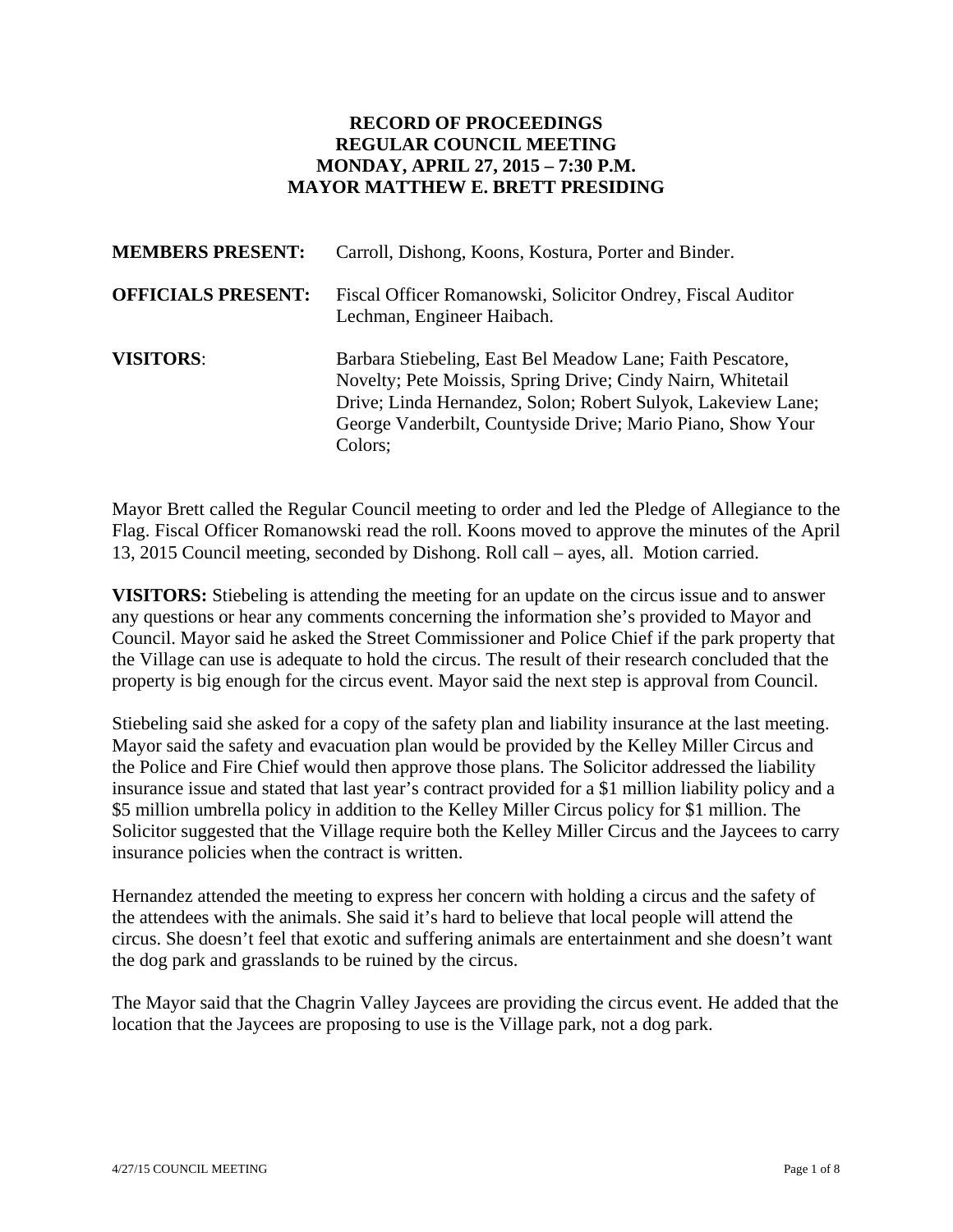## **RECORD OF PROCEEDINGS REGULAR COUNCIL MEETING MONDAY, APRIL 27, 2015 – 7:30 P.M. MAYOR MATTHEW E. BRETT PRESIDING**

| <b>MEMBERS PRESENT:</b>   | Carroll, Dishong, Koons, Kostura, Porter and Binder.                                                                                                                                                                                                                |
|---------------------------|---------------------------------------------------------------------------------------------------------------------------------------------------------------------------------------------------------------------------------------------------------------------|
| <b>OFFICIALS PRESENT:</b> | Fiscal Officer Romanowski, Solicitor Ondrey, Fiscal Auditor<br>Lechman, Engineer Haibach.                                                                                                                                                                           |
| <b>VISITORS:</b>          | Barbara Stiebeling, East Bel Meadow Lane; Faith Pescatore,<br>Novelty; Pete Moissis, Spring Drive; Cindy Nairn, Whitetail<br>Drive; Linda Hernandez, Solon; Robert Sulyok, Lakeview Lane;<br>George Vanderbilt, Countyside Drive; Mario Piano, Show Your<br>Colors; |

Mayor Brett called the Regular Council meeting to order and led the Pledge of Allegiance to the Flag. Fiscal Officer Romanowski read the roll. Koons moved to approve the minutes of the April 13, 2015 Council meeting, seconded by Dishong. Roll call – ayes, all. Motion carried.

**VISITORS:** Stiebeling is attending the meeting for an update on the circus issue and to answer any questions or hear any comments concerning the information she's provided to Mayor and Council. Mayor said he asked the Street Commissioner and Police Chief if the park property that the Village can use is adequate to hold the circus. The result of their research concluded that the property is big enough for the circus event. Mayor said the next step is approval from Council.

Stiebeling said she asked for a copy of the safety plan and liability insurance at the last meeting. Mayor said the safety and evacuation plan would be provided by the Kelley Miller Circus and the Police and Fire Chief would then approve those plans. The Solicitor addressed the liability insurance issue and stated that last year's contract provided for a \$1 million liability policy and a \$5 million umbrella policy in addition to the Kelley Miller Circus policy for \$1 million. The Solicitor suggested that the Village require both the Kelley Miller Circus and the Jaycees to carry insurance policies when the contract is written.

Hernandez attended the meeting to express her concern with holding a circus and the safety of the attendees with the animals. She said it's hard to believe that local people will attend the circus. She doesn't feel that exotic and suffering animals are entertainment and she doesn't want the dog park and grasslands to be ruined by the circus.

The Mayor said that the Chagrin Valley Jaycees are providing the circus event. He added that the location that the Jaycees are proposing to use is the Village park, not a dog park.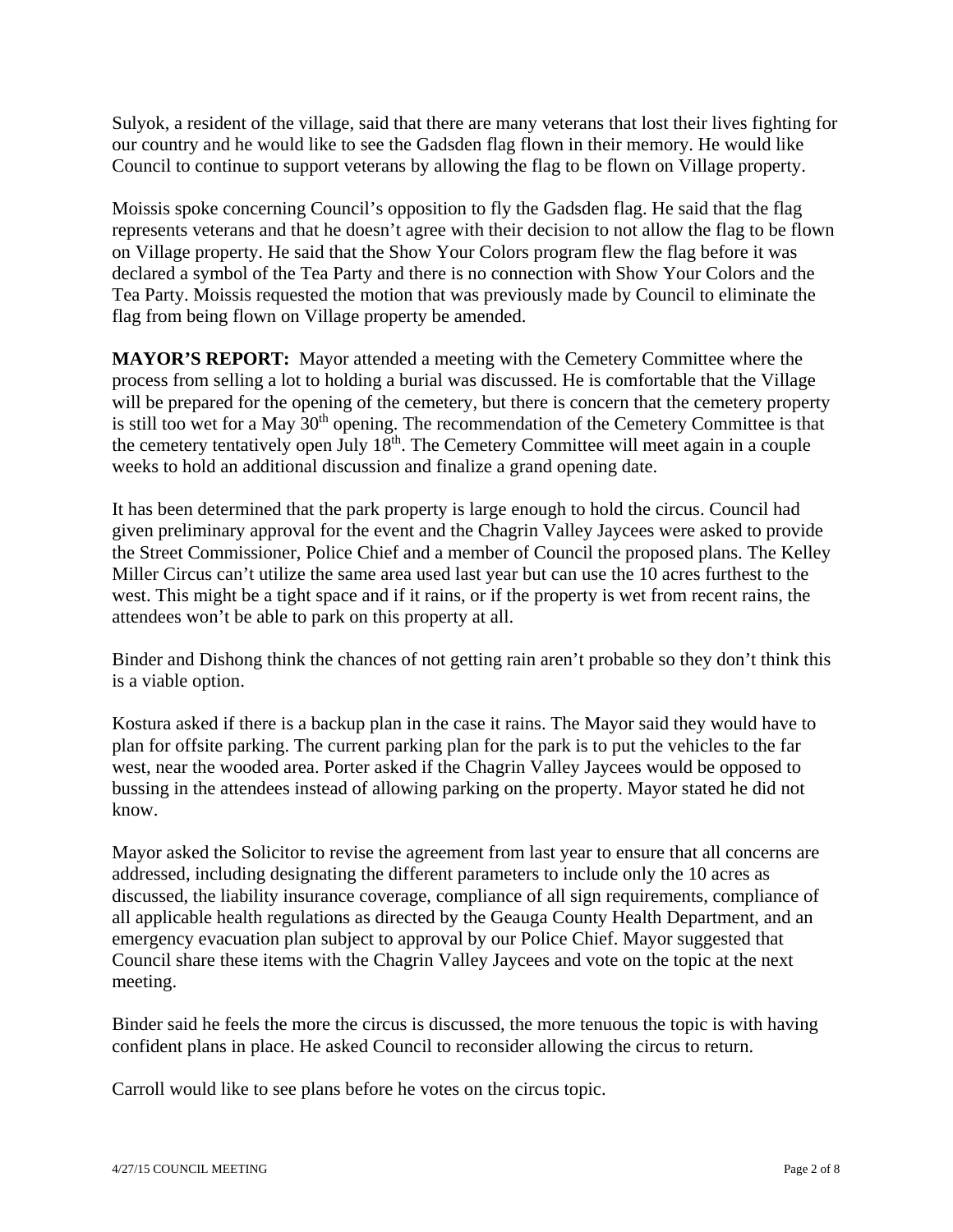Sulyok, a resident of the village, said that there are many veterans that lost their lives fighting for our country and he would like to see the Gadsden flag flown in their memory. He would like Council to continue to support veterans by allowing the flag to be flown on Village property.

Moissis spoke concerning Council's opposition to fly the Gadsden flag. He said that the flag represents veterans and that he doesn't agree with their decision to not allow the flag to be flown on Village property. He said that the Show Your Colors program flew the flag before it was declared a symbol of the Tea Party and there is no connection with Show Your Colors and the Tea Party. Moissis requested the motion that was previously made by Council to eliminate the flag from being flown on Village property be amended.

**MAYOR'S REPORT:** Mayor attended a meeting with the Cemetery Committee where the process from selling a lot to holding a burial was discussed. He is comfortable that the Village will be prepared for the opening of the cemetery, but there is concern that the cemetery property is still too wet for a May  $30<sup>th</sup>$  opening. The recommendation of the Cemetery Committee is that the cemetery tentatively open July  $18<sup>th</sup>$ . The Cemetery Committee will meet again in a couple weeks to hold an additional discussion and finalize a grand opening date.

It has been determined that the park property is large enough to hold the circus. Council had given preliminary approval for the event and the Chagrin Valley Jaycees were asked to provide the Street Commissioner, Police Chief and a member of Council the proposed plans. The Kelley Miller Circus can't utilize the same area used last year but can use the 10 acres furthest to the west. This might be a tight space and if it rains, or if the property is wet from recent rains, the attendees won't be able to park on this property at all.

Binder and Dishong think the chances of not getting rain aren't probable so they don't think this is a viable option.

Kostura asked if there is a backup plan in the case it rains. The Mayor said they would have to plan for offsite parking. The current parking plan for the park is to put the vehicles to the far west, near the wooded area. Porter asked if the Chagrin Valley Jaycees would be opposed to bussing in the attendees instead of allowing parking on the property. Mayor stated he did not know.

Mayor asked the Solicitor to revise the agreement from last year to ensure that all concerns are addressed, including designating the different parameters to include only the 10 acres as discussed, the liability insurance coverage, compliance of all sign requirements, compliance of all applicable health regulations as directed by the Geauga County Health Department, and an emergency evacuation plan subject to approval by our Police Chief. Mayor suggested that Council share these items with the Chagrin Valley Jaycees and vote on the topic at the next meeting.

Binder said he feels the more the circus is discussed, the more tenuous the topic is with having confident plans in place. He asked Council to reconsider allowing the circus to return.

Carroll would like to see plans before he votes on the circus topic.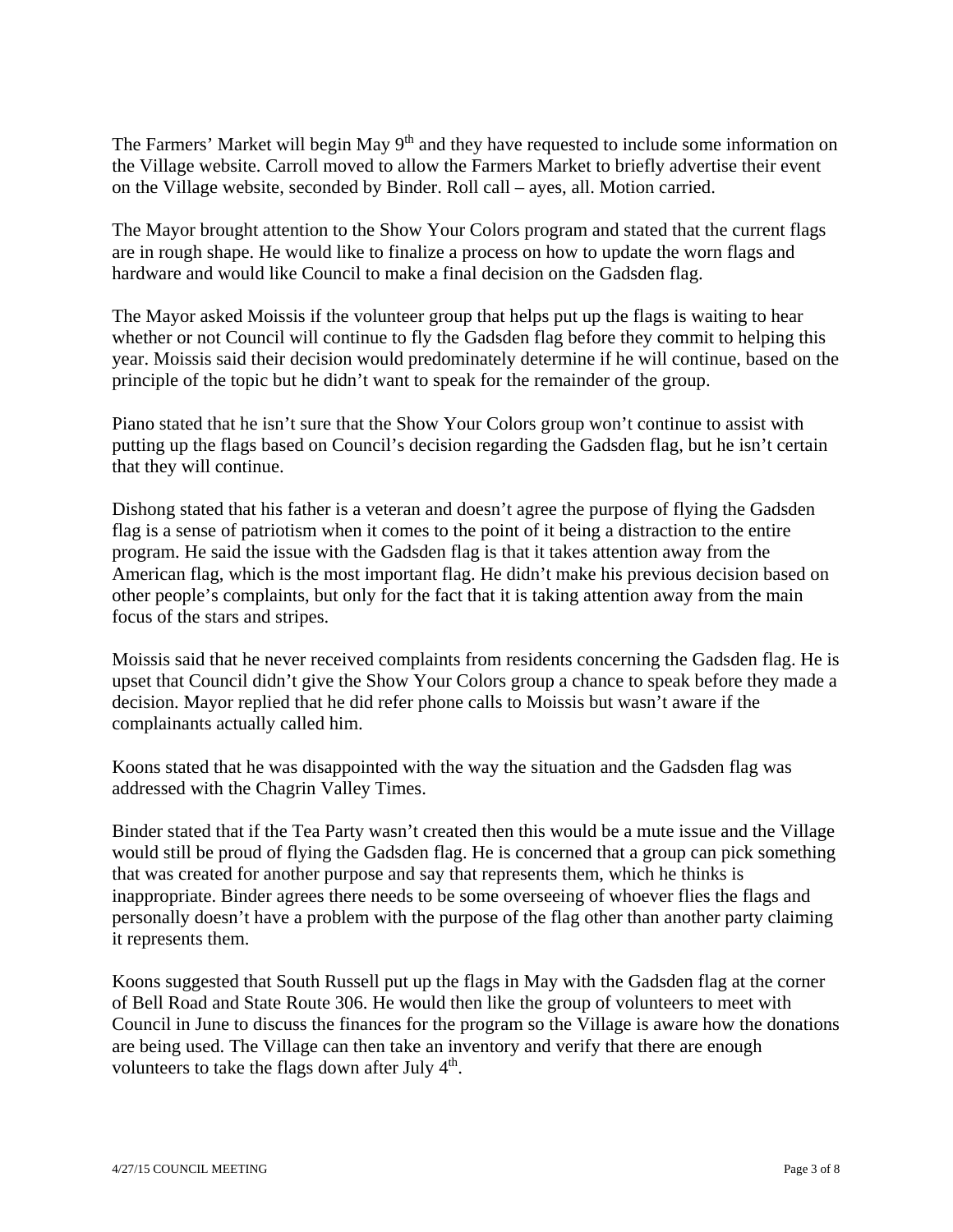The Farmers' Market will begin May 9<sup>th</sup> and they have requested to include some information on the Village website. Carroll moved to allow the Farmers Market to briefly advertise their event on the Village website, seconded by Binder. Roll call – ayes, all. Motion carried.

The Mayor brought attention to the Show Your Colors program and stated that the current flags are in rough shape. He would like to finalize a process on how to update the worn flags and hardware and would like Council to make a final decision on the Gadsden flag.

The Mayor asked Moissis if the volunteer group that helps put up the flags is waiting to hear whether or not Council will continue to fly the Gadsden flag before they commit to helping this year. Moissis said their decision would predominately determine if he will continue, based on the principle of the topic but he didn't want to speak for the remainder of the group.

Piano stated that he isn't sure that the Show Your Colors group won't continue to assist with putting up the flags based on Council's decision regarding the Gadsden flag, but he isn't certain that they will continue.

Dishong stated that his father is a veteran and doesn't agree the purpose of flying the Gadsden flag is a sense of patriotism when it comes to the point of it being a distraction to the entire program. He said the issue with the Gadsden flag is that it takes attention away from the American flag, which is the most important flag. He didn't make his previous decision based on other people's complaints, but only for the fact that it is taking attention away from the main focus of the stars and stripes.

Moissis said that he never received complaints from residents concerning the Gadsden flag. He is upset that Council didn't give the Show Your Colors group a chance to speak before they made a decision. Mayor replied that he did refer phone calls to Moissis but wasn't aware if the complainants actually called him.

Koons stated that he was disappointed with the way the situation and the Gadsden flag was addressed with the Chagrin Valley Times.

Binder stated that if the Tea Party wasn't created then this would be a mute issue and the Village would still be proud of flying the Gadsden flag. He is concerned that a group can pick something that was created for another purpose and say that represents them, which he thinks is inappropriate. Binder agrees there needs to be some overseeing of whoever flies the flags and personally doesn't have a problem with the purpose of the flag other than another party claiming it represents them.

Koons suggested that South Russell put up the flags in May with the Gadsden flag at the corner of Bell Road and State Route 306. He would then like the group of volunteers to meet with Council in June to discuss the finances for the program so the Village is aware how the donations are being used. The Village can then take an inventory and verify that there are enough volunteers to take the flags down after July  $4<sup>th</sup>$ .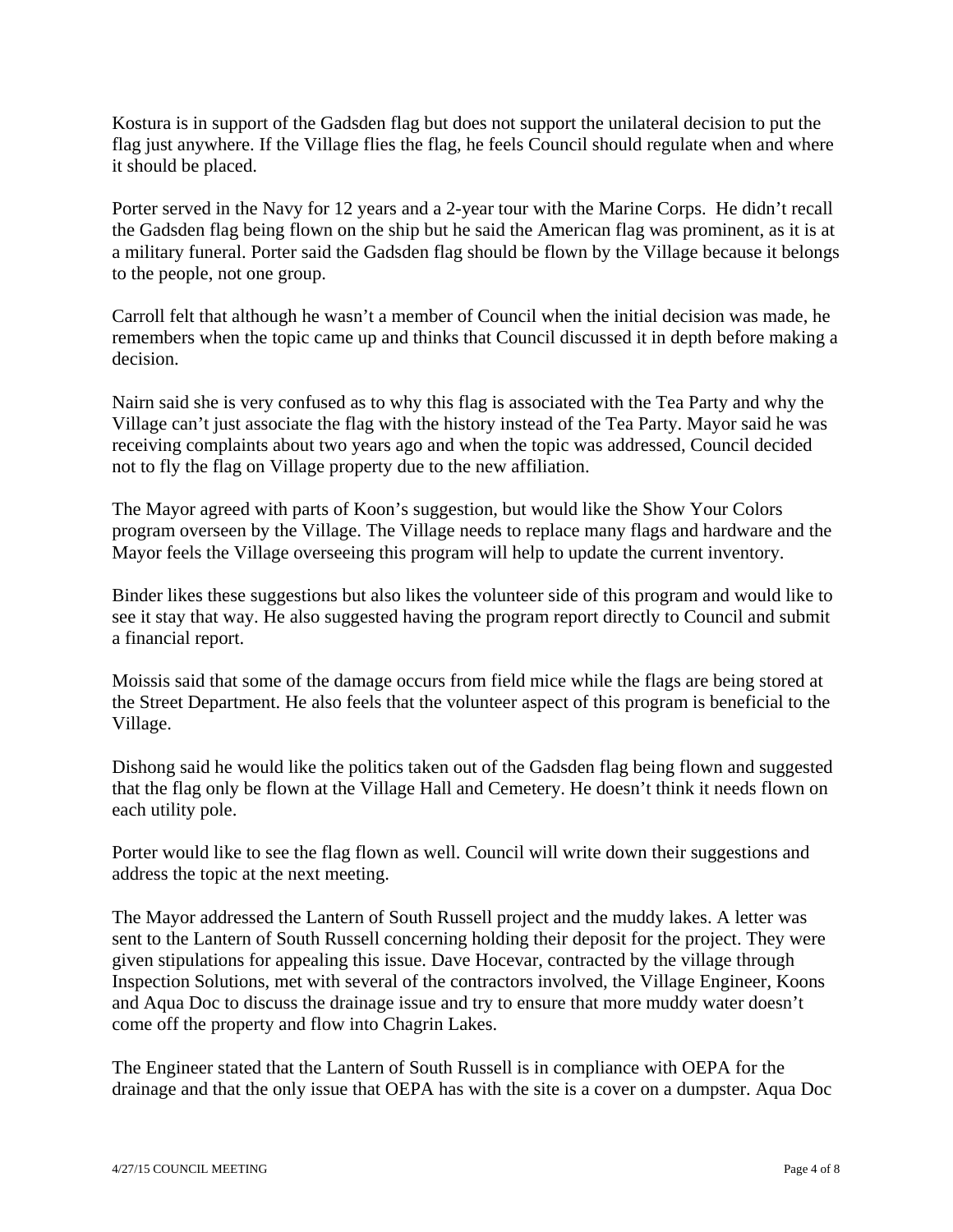Kostura is in support of the Gadsden flag but does not support the unilateral decision to put the flag just anywhere. If the Village flies the flag, he feels Council should regulate when and where it should be placed.

Porter served in the Navy for 12 years and a 2-year tour with the Marine Corps. He didn't recall the Gadsden flag being flown on the ship but he said the American flag was prominent, as it is at a military funeral. Porter said the Gadsden flag should be flown by the Village because it belongs to the people, not one group.

Carroll felt that although he wasn't a member of Council when the initial decision was made, he remembers when the topic came up and thinks that Council discussed it in depth before making a decision.

Nairn said she is very confused as to why this flag is associated with the Tea Party and why the Village can't just associate the flag with the history instead of the Tea Party. Mayor said he was receiving complaints about two years ago and when the topic was addressed, Council decided not to fly the flag on Village property due to the new affiliation.

The Mayor agreed with parts of Koon's suggestion, but would like the Show Your Colors program overseen by the Village. The Village needs to replace many flags and hardware and the Mayor feels the Village overseeing this program will help to update the current inventory.

Binder likes these suggestions but also likes the volunteer side of this program and would like to see it stay that way. He also suggested having the program report directly to Council and submit a financial report.

Moissis said that some of the damage occurs from field mice while the flags are being stored at the Street Department. He also feels that the volunteer aspect of this program is beneficial to the Village.

Dishong said he would like the politics taken out of the Gadsden flag being flown and suggested that the flag only be flown at the Village Hall and Cemetery. He doesn't think it needs flown on each utility pole.

Porter would like to see the flag flown as well. Council will write down their suggestions and address the topic at the next meeting.

The Mayor addressed the Lantern of South Russell project and the muddy lakes. A letter was sent to the Lantern of South Russell concerning holding their deposit for the project. They were given stipulations for appealing this issue. Dave Hocevar, contracted by the village through Inspection Solutions, met with several of the contractors involved, the Village Engineer, Koons and Aqua Doc to discuss the drainage issue and try to ensure that more muddy water doesn't come off the property and flow into Chagrin Lakes.

The Engineer stated that the Lantern of South Russell is in compliance with OEPA for the drainage and that the only issue that OEPA has with the site is a cover on a dumpster. Aqua Doc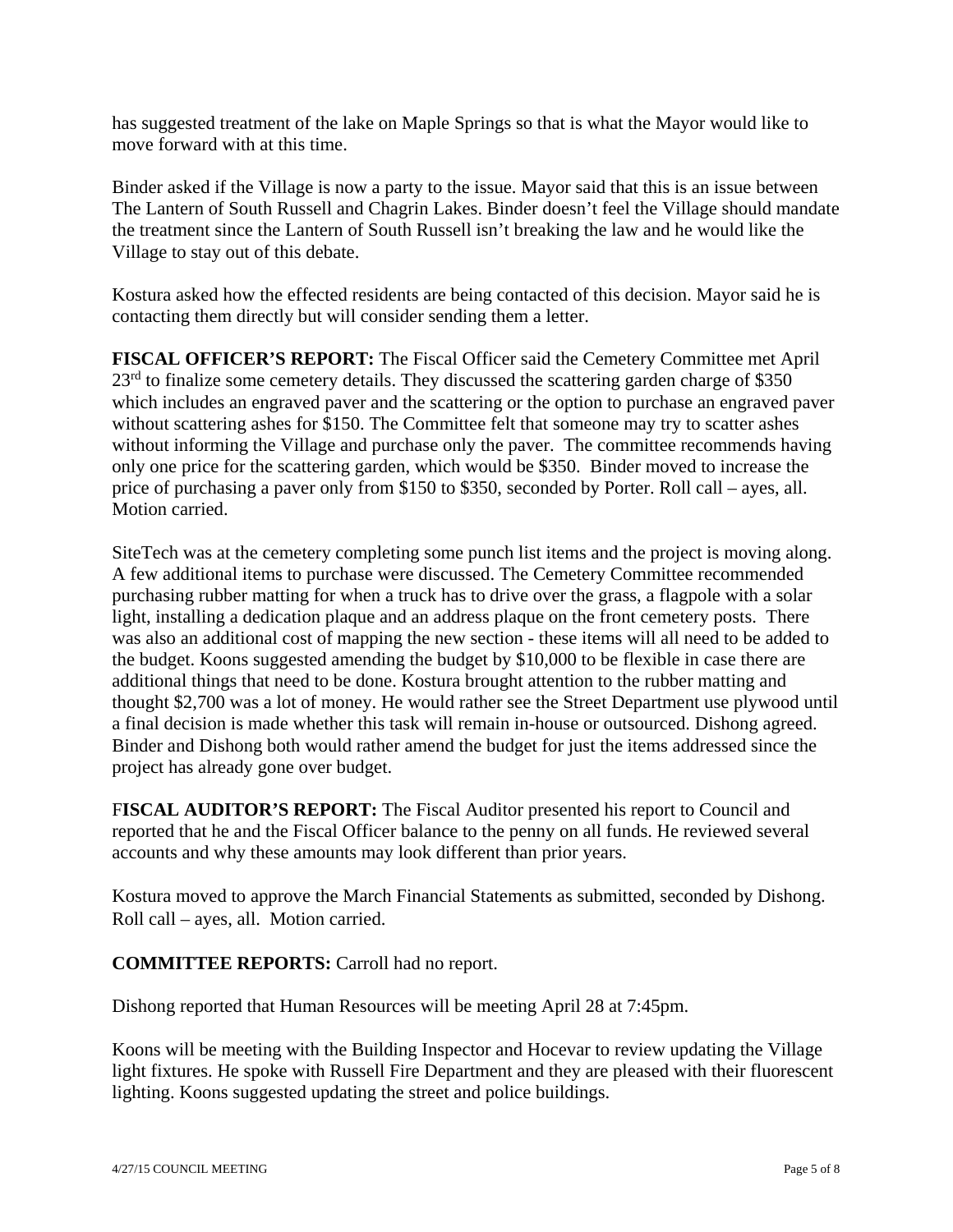has suggested treatment of the lake on Maple Springs so that is what the Mayor would like to move forward with at this time.

Binder asked if the Village is now a party to the issue. Mayor said that this is an issue between The Lantern of South Russell and Chagrin Lakes. Binder doesn't feel the Village should mandate the treatment since the Lantern of South Russell isn't breaking the law and he would like the Village to stay out of this debate.

Kostura asked how the effected residents are being contacted of this decision. Mayor said he is contacting them directly but will consider sending them a letter.

**FISCAL OFFICER'S REPORT:** The Fiscal Officer said the Cemetery Committee met April 23<sup>rd</sup> to finalize some cemetery details. They discussed the scattering garden charge of \$350 which includes an engraved paver and the scattering or the option to purchase an engraved paver without scattering ashes for \$150. The Committee felt that someone may try to scatter ashes without informing the Village and purchase only the paver. The committee recommends having only one price for the scattering garden, which would be \$350. Binder moved to increase the price of purchasing a paver only from \$150 to \$350, seconded by Porter. Roll call – ayes, all. Motion carried.

SiteTech was at the cemetery completing some punch list items and the project is moving along. A few additional items to purchase were discussed. The Cemetery Committee recommended purchasing rubber matting for when a truck has to drive over the grass, a flagpole with a solar light, installing a dedication plaque and an address plaque on the front cemetery posts. There was also an additional cost of mapping the new section - these items will all need to be added to the budget. Koons suggested amending the budget by \$10,000 to be flexible in case there are additional things that need to be done. Kostura brought attention to the rubber matting and thought \$2,700 was a lot of money. He would rather see the Street Department use plywood until a final decision is made whether this task will remain in-house or outsourced. Dishong agreed. Binder and Dishong both would rather amend the budget for just the items addressed since the project has already gone over budget.

F**ISCAL AUDITOR'S REPORT:** The Fiscal Auditor presented his report to Council and reported that he and the Fiscal Officer balance to the penny on all funds. He reviewed several accounts and why these amounts may look different than prior years.

Kostura moved to approve the March Financial Statements as submitted, seconded by Dishong. Roll call – ayes, all. Motion carried.

## **COMMITTEE REPORTS:** Carroll had no report.

Dishong reported that Human Resources will be meeting April 28 at 7:45pm.

Koons will be meeting with the Building Inspector and Hocevar to review updating the Village light fixtures. He spoke with Russell Fire Department and they are pleased with their fluorescent lighting. Koons suggested updating the street and police buildings.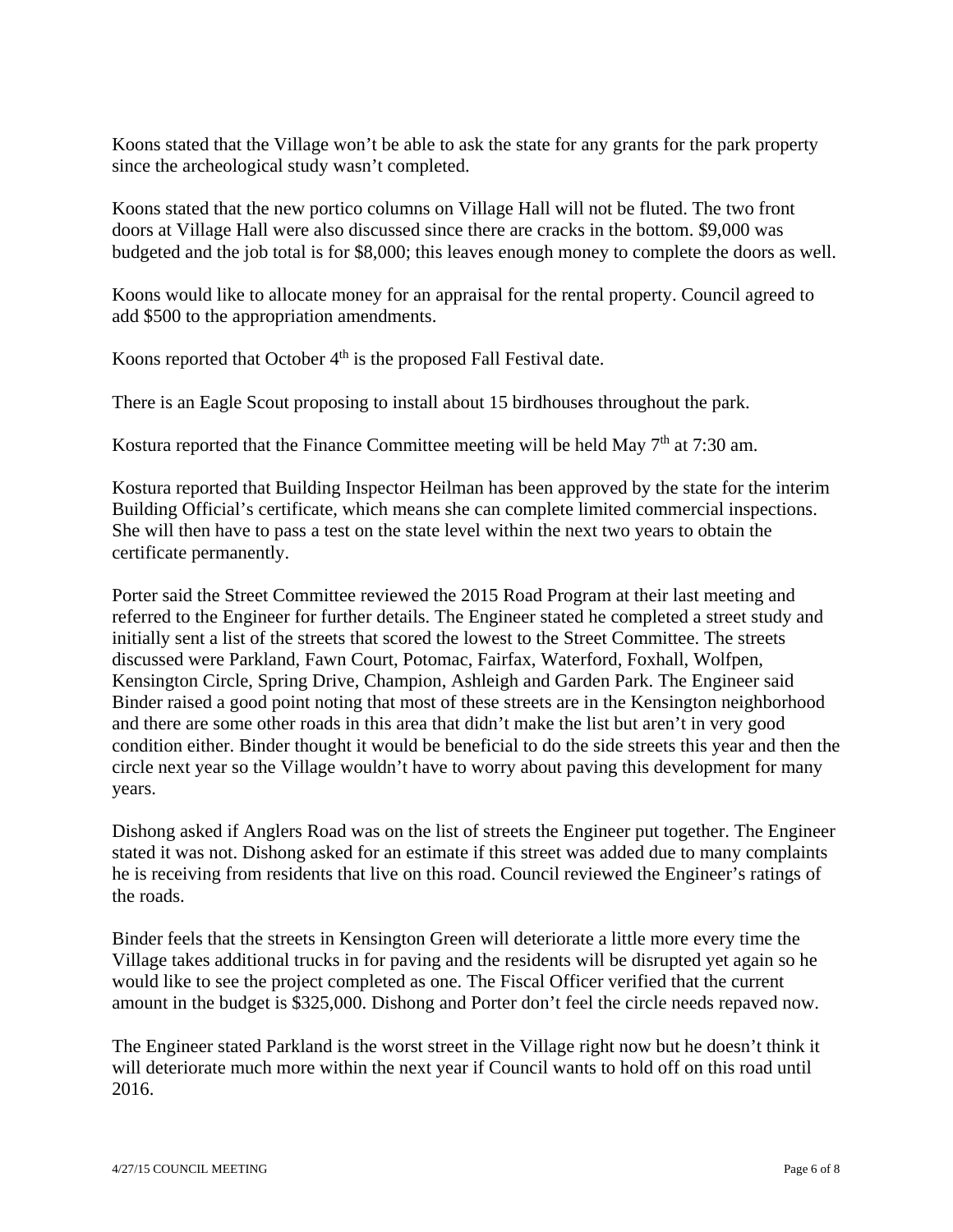Koons stated that the Village won't be able to ask the state for any grants for the park property since the archeological study wasn't completed.

Koons stated that the new portico columns on Village Hall will not be fluted. The two front doors at Village Hall were also discussed since there are cracks in the bottom. \$9,000 was budgeted and the job total is for \$8,000; this leaves enough money to complete the doors as well.

Koons would like to allocate money for an appraisal for the rental property. Council agreed to add \$500 to the appropriation amendments.

Koons reported that October  $4<sup>th</sup>$  is the proposed Fall Festival date.

There is an Eagle Scout proposing to install about 15 birdhouses throughout the park.

Kostura reported that the Finance Committee meeting will be held May  $7<sup>th</sup>$  at 7:30 am.

Kostura reported that Building Inspector Heilman has been approved by the state for the interim Building Official's certificate, which means she can complete limited commercial inspections. She will then have to pass a test on the state level within the next two years to obtain the certificate permanently.

Porter said the Street Committee reviewed the 2015 Road Program at their last meeting and referred to the Engineer for further details. The Engineer stated he completed a street study and initially sent a list of the streets that scored the lowest to the Street Committee. The streets discussed were Parkland, Fawn Court, Potomac, Fairfax, Waterford, Foxhall, Wolfpen, Kensington Circle, Spring Drive, Champion, Ashleigh and Garden Park. The Engineer said Binder raised a good point noting that most of these streets are in the Kensington neighborhood and there are some other roads in this area that didn't make the list but aren't in very good condition either. Binder thought it would be beneficial to do the side streets this year and then the circle next year so the Village wouldn't have to worry about paving this development for many years.

Dishong asked if Anglers Road was on the list of streets the Engineer put together. The Engineer stated it was not. Dishong asked for an estimate if this street was added due to many complaints he is receiving from residents that live on this road. Council reviewed the Engineer's ratings of the roads.

Binder feels that the streets in Kensington Green will deteriorate a little more every time the Village takes additional trucks in for paving and the residents will be disrupted yet again so he would like to see the project completed as one. The Fiscal Officer verified that the current amount in the budget is \$325,000. Dishong and Porter don't feel the circle needs repaved now.

The Engineer stated Parkland is the worst street in the Village right now but he doesn't think it will deteriorate much more within the next year if Council wants to hold off on this road until 2016.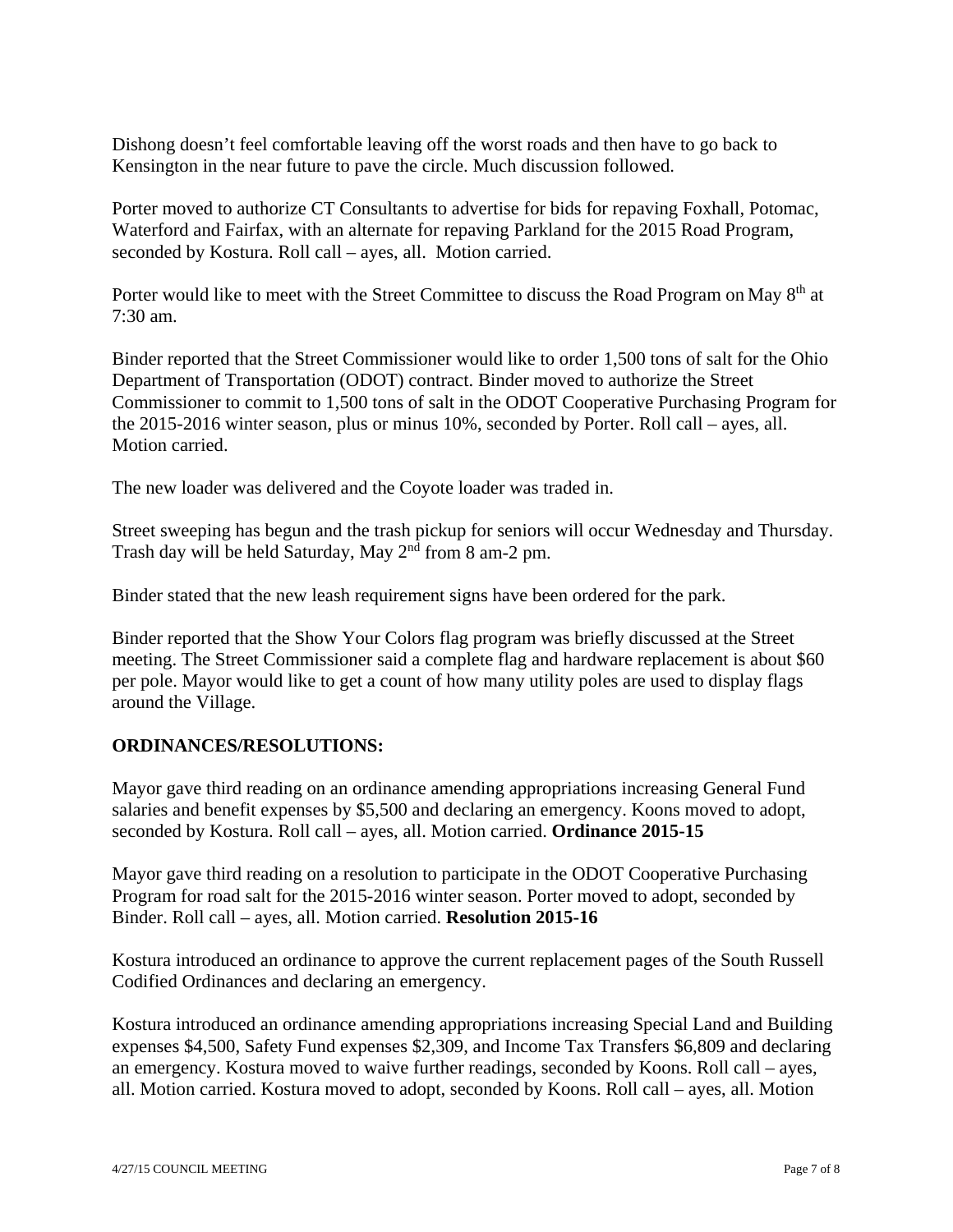Dishong doesn't feel comfortable leaving off the worst roads and then have to go back to Kensington in the near future to pave the circle. Much discussion followed.

Porter moved to authorize CT Consultants to advertise for bids for repaving Foxhall, Potomac, Waterford and Fairfax, with an alternate for repaving Parkland for the 2015 Road Program, seconded by Kostura. Roll call – ayes, all. Motion carried.

Porter would like to meet with the Street Committee to discuss the Road Program on May 8<sup>th</sup> at  $7:30 \text{ am}$ 

Binder reported that the Street Commissioner would like to order 1,500 tons of salt for the Ohio Department of Transportation (ODOT) contract. Binder moved to authorize the Street Commissioner to commit to 1,500 tons of salt in the ODOT Cooperative Purchasing Program for the 2015-2016 winter season, plus or minus 10%, seconded by Porter. Roll call – ayes, all. Motion carried.

The new loader was delivered and the Coyote loader was traded in.

Street sweeping has begun and the trash pickup for seniors will occur Wednesday and Thursday. Trash day will be held Saturday, May 2nd from 8 am-2 pm.

Binder stated that the new leash requirement signs have been ordered for the park.

Binder reported that the Show Your Colors flag program was briefly discussed at the Street meeting. The Street Commissioner said a complete flag and hardware replacement is about \$60 per pole. Mayor would like to get a count of how many utility poles are used to display flags around the Village.

## **ORDINANCES/RESOLUTIONS:**

Mayor gave third reading on an ordinance amending appropriations increasing General Fund salaries and benefit expenses by \$5,500 and declaring an emergency. Koons moved to adopt, seconded by Kostura. Roll call – ayes, all. Motion carried. **Ordinance 2015-15**

Mayor gave third reading on a resolution to participate in the ODOT Cooperative Purchasing Program for road salt for the 2015-2016 winter season. Porter moved to adopt, seconded by Binder. Roll call – ayes, all. Motion carried. **Resolution 2015-16** 

Kostura introduced an ordinance to approve the current replacement pages of the South Russell Codified Ordinances and declaring an emergency.

Kostura introduced an ordinance amending appropriations increasing Special Land and Building expenses \$4,500, Safety Fund expenses \$2,309, and Income Tax Transfers \$6,809 and declaring an emergency. Kostura moved to waive further readings, seconded by Koons. Roll call – ayes, all. Motion carried. Kostura moved to adopt, seconded by Koons. Roll call – ayes, all. Motion